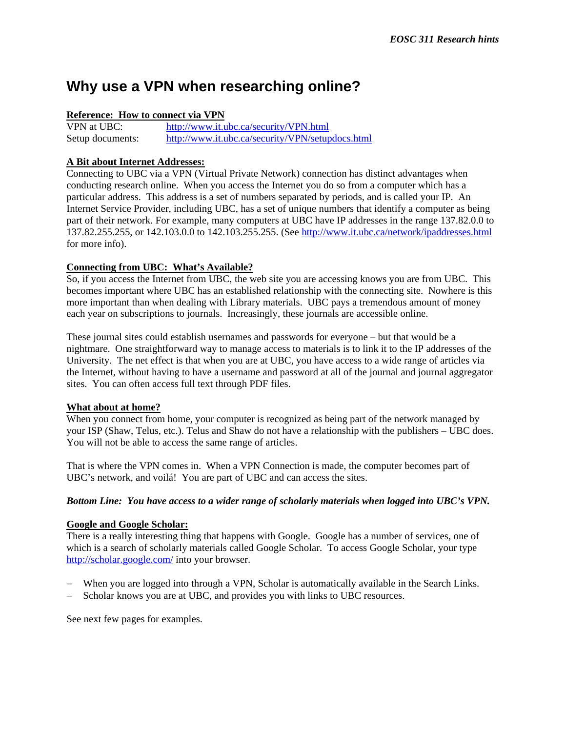# **Why use a VPN when researching online?**

#### **Reference: How to connect via VPN**

VPN at UBC: <http://www.it.ubc.ca/security/VPN.html> Setup documents: <http://www.it.ubc.ca/security/VPN/setupdocs.html>

#### **A Bit about Internet Addresses:**

Connecting to UBC via a VPN (Virtual Private Network) connection has distinct advantages when conducting research online. When you access the Internet you do so from a computer which has a particular address. This address is a set of numbers separated by periods, and is called your IP. An Internet Service Provider, including UBC, has a set of unique numbers that identify a computer as being part of their network. For example, many computers at UBC have IP addresses in the range 137.82.0.0 to 137.82.255.255, or 142.103.0.0 to 142.103.255.255. (See<http://www.it.ubc.ca/network/ipaddresses.html> for more info).

#### **Connecting from UBC: What's Available?**

So, if you access the Internet from UBC, the web site you are accessing knows you are from UBC. This becomes important where UBC has an established relationship with the connecting site. Nowhere is this more important than when dealing with Library materials. UBC pays a tremendous amount of money each year on subscriptions to journals. Increasingly, these journals are accessible online.

These journal sites could establish usernames and passwords for everyone – but that would be a nightmare. One straightforward way to manage access to materials is to link it to the IP addresses of the University. The net effect is that when you are at UBC, you have access to a wide range of articles via the Internet, without having to have a username and password at all of the journal and journal aggregator sites. You can often access full text through PDF files.

#### **What about at home?**

When you connect from home, your computer is recognized as being part of the network managed by your ISP (Shaw, Telus, etc.). Telus and Shaw do not have a relationship with the publishers – UBC does. You will not be able to access the same range of articles.

That is where the VPN comes in. When a VPN Connection is made, the computer becomes part of UBC's network, and voilá! You are part of UBC and can access the sites.

#### *Bottom Line: You have access to a wider range of scholarly materials when logged into UBC's VPN.*

#### **Google and Google Scholar:**

There is a really interesting thing that happens with Google. Google has a number of services, one of which is a search of scholarly materials called Google Scholar. To access Google Scholar, your type <http://scholar.google.com/> into your browser.

- When you are logged into through a VPN, Scholar is automatically available in the Search Links.
- Scholar knows you are at UBC, and provides you with links to UBC resources.

See next few pages for examples.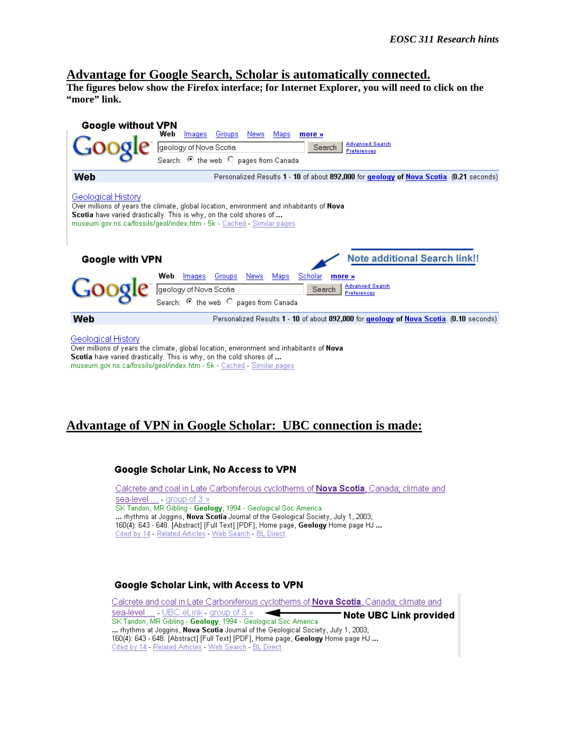# **Advantage for Google Search, Scholar is automatically connected. The figures below show the Firefox interface; for Internet Explorer, you will need to click on the**

**"more" link.** 



Over millions of years the climate, global location, environment and inhabitants of Nova Scotia have varied drastically. This is why, on the cold shores of ... museum.gov.ns.ca/fossils/geol/index.htm - 5k - Cached - Similar pages

## **Advantage of VPN in Google Scholar: UBC connection is made:**

#### Google Scholar Link, No Access to VPN

Calcrete and coal in Late Carboniferous cyclothems of Nova Scotia, Canada; climate and sea-level ... - group of 3 » SK Tandon, MR Gibling - Geology, 1994 - Geological Soc America ... rhythms at Joggins, Nova Scotia Journal of the Geological Society, July 1, 2003; 160(4): 643 - 648. [Abstract] [Full Text] [PDF], Home page, Geology Home page HJ ... Cited by 14 - Related Articles - Web Search - BL Direct

#### Google Scholar Link, with Access to VPN

Calcrete and coal in Late Carboniferous cyclothems of Nova Scotia, Canada; climate and sea-level ... - UBC eLink - group of 3 » Note UBC Link provided SK Tandon, MR Gibling - Geology, 1994 - Geological Soc America ... rhythms at Joggins, Nova Scotia Journal of the Geological Society, July 1, 2003; 160(4): 643 - 648. [Abstract] [Full Text] [PDF], Home page, Geology Home page HJ ... Cited by 14 - Related Articles - Web Search - BL Direct